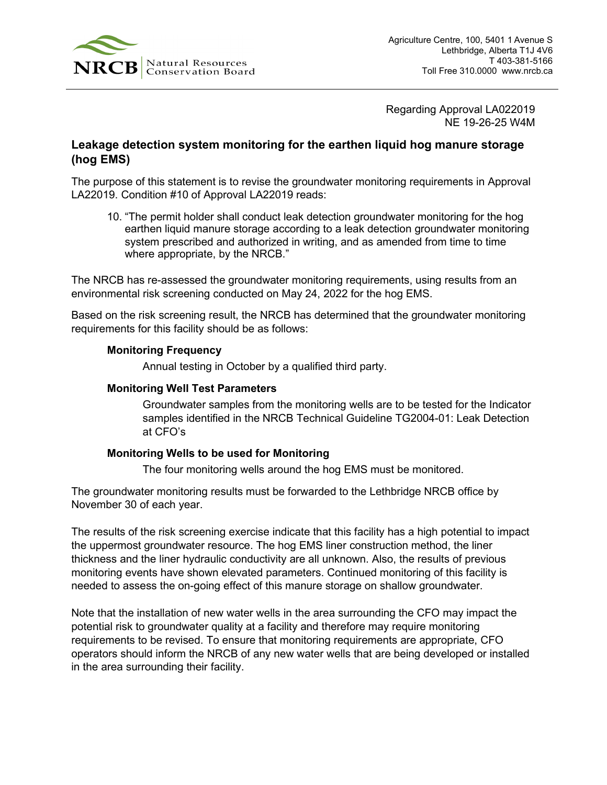

Regarding Approval LA022019 NE 19-26-25 W4M

## **Leakage detection system monitoring for the earthen liquid hog manure storage (hog EMS)**

The purpose of this statement is to revise the groundwater monitoring requirements in Approval LA22019. Condition #10 of Approval LA22019 reads:

10. "The permit holder shall conduct leak detection groundwater monitoring for the hog earthen liquid manure storage according to a leak detection groundwater monitoring system prescribed and authorized in writing, and as amended from time to time where appropriate, by the NRCB."

The NRCB has re-assessed the groundwater monitoring requirements, using results from an environmental risk screening conducted on May 24, 2022 for the hog EMS.

Based on the risk screening result, the NRCB has determined that the groundwater monitoring requirements for this facility should be as follows:

## **Monitoring Frequency**

Annual testing in October by a qualified third party.

## **Monitoring Well Test Parameters**

Groundwater samples from the monitoring wells are to be tested for the Indicator samples identified in the NRCB Technical Guideline TG2004-01: Leak Detection at CFO's

## **Monitoring Wells to be used for Monitoring**

The four monitoring wells around the hog EMS must be monitored.

The groundwater monitoring results must be forwarded to the Lethbridge NRCB office by November 30 of each year.

The results of the risk screening exercise indicate that this facility has a high potential to impact the uppermost groundwater resource. The hog EMS liner construction method, the liner thickness and the liner hydraulic conductivity are all unknown. Also, the results of previous monitoring events have shown elevated parameters. Continued monitoring of this facility is needed to assess the on-going effect of this manure storage on shallow groundwater.

Note that the installation of new water wells in the area surrounding the CFO may impact the potential risk to groundwater quality at a facility and therefore may require monitoring requirements to be revised. To ensure that monitoring requirements are appropriate, CFO operators should inform the NRCB of any new water wells that are being developed or installed in the area surrounding their facility.